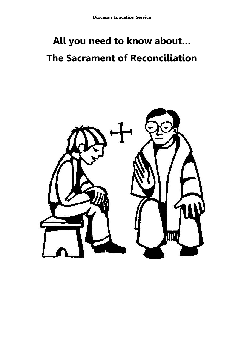# **All you need to know about… The Sacrament of Reconciliation**

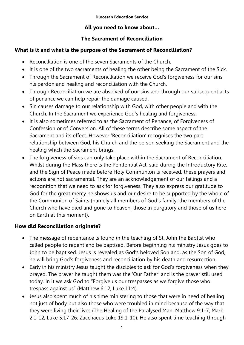**Diocesan Education Service**

## **All you need to know about…**

# **The Sacrament of Reconciliation**

# **What is it and what is the purpose of the Sacrament of Reconciliation?**

- Reconciliation is one of the seven Sacraments of the Church.
- It is one of the two sacraments of healing the other being the Sacrament of the Sick.
- Through the Sacrament of Reconciliation we receive God's forgiveness for our sins his pardon and healing and reconciliation with the Church.
- Through Reconciliation we are absolved of our sins and through our subsequent acts of penance we can help repair the damage caused.
- Sin causes damage to our relationship with God, with other people and with the Church. In the Sacrament we experience God's healing and forgiveness.
- It is also sometimes referred to as the Sacrament of Penance, of Forgiveness of Confession or of Conversion. All of these terms describe some aspect of the Sacrament and its effect. However 'Reconciliation' recognises the two part relationship between God, his Church and the person seeking the Sacrament and the healing which the Sacrament brings.
- The forgiveness of sins can only take place within the Sacrament of Reconciliation. Whilst during the Mass there is the Penitential Act, said during the Introductory Rite, and the Sign of Peace made before Holy Communion is received, these prayers and actions are not sacramental. They are an acknowledgement of our failings and a recognition that we need to ask for forgiveness. They also express our gratitude to God for the great mercy he shows us and our desire to be supported by the whole of the Communion of Saints (namely all members of God's family: the members of the Church who have died and gone to heaven, those in purgatory and those of us here on Earth at this moment).

# **How did Reconciliation originate?**

- The message of repentance is found in the teaching of St. John the Baptist who called people to repent and be baptised. Before beginning his ministry Jesus goes to John to be baptised. Jesus is revealed as God's beloved Son and, as the Son of God, he will bring God's forgiveness and reconciliation by his death and resurrection.
- Early in his ministry Jesus taught the disciples to ask for God's forgiveness when they prayed. The prayer he taught them was the 'Our Father' and is the prayer still used today. In it we ask God to "Forgive us our trespasses as we forgive those who trespass against us" (Matthew 6:12, Luke 11:4).
- Jesus also spent much of his time ministering to those that were in need of healing not just of body but also those who were troubled in mind because of the way that they were living their lives (The Healing of the Paralysed Man: Matthew 9:1-7, Mark 2:1-12, Luke 5:17-26; Zacchaeus Luke 19:1-10). He also spent time teaching through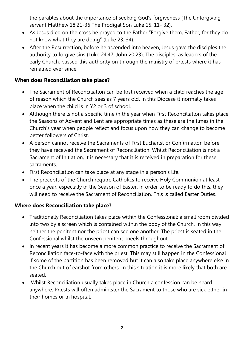the parables about the importance of seeking God's forgiveness (The Unforgiving servant Matthew 18:21-36 The Prodigal Son Luke 15: 11- 32).

- As Jesus died on the cross he prayed to the Father "Forgive them, Father, for they do not know what they are doing" (Luke 23: 34).
- After the Resurrection, before he ascended into heaven, Jesus gave the disciples the authority to forgive sins (Luke 24:47, John 20:23). The disciples, as leaders of the early Church, passed this authority on through the ministry of priests where it has remained ever since.

#### **When does Reconciliation take place?**

- The Sacrament of Reconciliation can be first received when a child reaches the age of reason which the Church sees as 7 years old. In this Diocese it normally takes place when the child is in Y2 or 3 of school.
- Although there is not a specific time in the year when First Reconciliation takes place the Seasons of Advent and Lent are appropriate times as these are the times in the Church's year when people reflect and focus upon how they can change to become better followers of Christ.
- A person cannot receive the Sacraments of First Eucharist or Confirmation before they have received the Sacrament of Reconciliation. Whilst Reconciliation is not a Sacrament of Initiation, it is necessary that it is received in preparation for these sacraments.
- First Reconciliation can take place at any stage in a person's life.
- The precepts of the Church require Catholics to receive Holy Communion at least once a year, especially in the Season of Easter. In order to be ready to do this, they will need to receive the Sacrament of Reconciliation. This is called Easter Duties.

#### **Where does Reconciliation take place?**

- Traditionally Reconciliation takes place within the Confessional: a small room divided into two by a screen which is contained within the body of the Church. In this way neither the penitent nor the priest can see one another. The priest is seated in the Confessional whilst the unseen penitent kneels throughout.
- In recent years it has become a more common practice to receive the Sacrament of Reconciliation face-to-face with the priest. This may still happen in the Confessional if some of the partition has been removed but it can also take place anywhere else in the Church out of earshot from others. In this situation it is more likely that both are seated.
- Whilst Reconciliation usually takes place in Church a confession can be heard anywhere. Priests will often administer the Sacrament to those who are sick either in their homes or in hospital.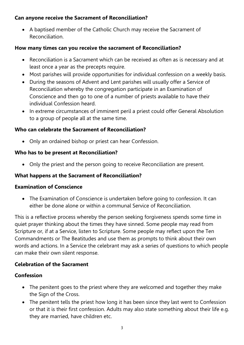#### **Can anyone receive the Sacrament of Reconciliation?**

 A baptised member of the Catholic Church may receive the Sacrament of Reconciliation.

# **How many times can you receive the sacrament of Reconciliation?**

- Reconciliation is a Sacrament which can be received as often as is necessary and at least once a year as the precepts require.
- Most parishes will provide opportunities for individual confession on a weekly basis.
- During the seasons of Advent and Lent parishes will usually offer a Service of Reconciliation whereby the congregation participate in an Examination of Conscience and then go to one of a number of priests available to have their individual Confession heard.
- In extreme circumstances of imminent peril a priest could offer General Absolution to a group of people all at the same time.

## **Who can celebrate the Sacrament of Reconciliation?**

Only an ordained bishop or priest can hear Confession.

#### **Who has to be present at Reconciliation?**

Only the priest and the person going to receive Reconciliation are present.

#### **What happens at the Sacrament of Reconciliation?**

#### **Examination of Conscience**

 The Examination of Conscience is undertaken before going to confession. It can either be done alone or within a communal Service of Reconciliation.

This is a reflective process whereby the person seeking forgiveness spends some time in quiet prayer thinking about the times they have sinned. Some people may read from Scripture or, if at a Service, listen to Scripture. Some people may reflect upon the Ten Commandments or The Beatitudes and use them as prompts to think about their own words and actions. In a Service the celebrant may ask a series of questions to which people can make their own silent response.

#### **Celebration of the Sacrament**

#### **Confession**

- The penitent goes to the priest where they are welcomed and together they make the Sign of the Cross.
- The penitent tells the priest how long it has been since they last went to Confession or that it is their first confession. Adults may also state something about their life e.g. they are married, have children etc.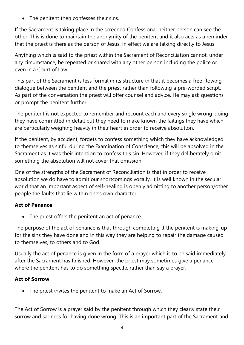• The penitent then confesses their sins.

If the Sacrament is taking place in the screened Confessional neither person can see the other. This is done to maintain the anonymity of the penitent and it also acts as a reminder that the priest is there as the person of Jesus. In effect we are talking directly to Jesus.

Anything which is said to the priest within the Sacrament of Reconciliation cannot, under any circumstance, be repeated or shared with any other person including the police or even in a Court of Law.

This part of the Sacrament is less formal in its structure in that it becomes a free-flowing dialogue between the penitent and the priest rather than following a pre-worded script. As part of the conversation the priest will offer counsel and advice. He may ask questions or prompt the penitent further.

The penitent is not expected to remember and recount each and every single wrong-doing they have committed in detail but they need to make known the failings they have which are particularly weighing heavily in their heart in order to receive absolution.

If the penitent, by accident, forgets to confess something which they have acknowledged to themselves as sinful during the Examination of Conscience, this will be absolved in the Sacrament as it was their intention to confess this sin. However, if they deliberately omit something the absolution will not cover that omission.

One of the strengths of the Sacrament of Reconciliation is that in order to receive absolution we do have to admit our shortcomings vocally. It is well known in the secular world that an important aspect of self-healing is openly admitting to another person/other people the faults that lie within one's own character.

# **Act of Penance**

• The priest offers the penitent an act of penance.

The purpose of the act of penance is that through completing it the penitent is making-up for the sins they have done and in this way they are helping to repair the damage caused to themselves, to others and to God.

Usually the act of penance is given in the form of a prayer which is to be said immediately after the Sacrament has finished. However, the priest may sometimes give a penance where the penitent has to do something specific rather than say a prayer.

# **Act of Sorrow**

The priest invites the penitent to make an Act of Sorrow.

The Act of Sorrow is a prayer said by the penitent through which they clearly state their sorrow and sadness for having done wrong. This is an important part of the Sacrament and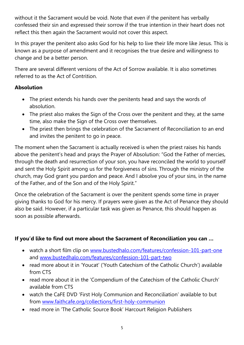without it the Sacrament would be void. Note that even if the penitent has verbally confessed their sin and expressed their sorrow if the true intention in their heart does not reflect this then again the Sacrament would not cover this aspect.

In this prayer the penitent also asks God for his help to live their life more like Jesus. This is known as a purpose of amendment and it recognises the true desire and willingness to change and be a better person.

There are several different versions of the Act of Sorrow available. It is also sometimes referred to as the Act of Contrition.

## **Absolution**

- The priest extends his hands over the penitents head and says the words of absolution.
- The priest also makes the Sign of the Cross over the penitent and they, at the same time, also make the Sign of the Cross over themselves.
- The priest then brings the celebration of the Sacrament of Reconciliation to an end and invites the penitent to go in peace.

The moment when the Sacrament is actually received is when the priest raises his hands above the penitent's head and prays the Prayer of Absolution: "God the Father of mercies, through the death and resurrection of your son, you have reconciled the world to yourself and sent the Holy Spirit among us for the forgiveness of sins. Through the ministry of the church, may God grant you pardon and peace. And I absolve you of your sins, in the name of the Father, and of the Son and of the Holy Spirit."

Once the celebration of the Sacrament is over the penitent spends some time in prayer giving thanks to God for his mercy. If prayers were given as the Act of Penance they should also be said. However, if a particular task was given as Penance, this should happen as soon as possible afterwards.

# **If you'd like to find out more about the Sacrament of Reconciliation you can …**

- watch a short film clip on [www.bustedhalo.com/features/confession-101-part-one](http://www.bustedhalo.com/features/confession-101-part-one) and [www.bustedhalo.com/features/confession-101-part-two](http://www.bustedhalo.com/features/confession-101-part-two)
- read more about it in 'Youcat' ('Youth Catechism of the Catholic Church') available from CTS
- read more about it in the 'Compendium of the Catechism of the Catholic Church' available from CTS
- watch the CaFE DVD 'First Holy Communion and Reconciliation' available to but from [www.faithcafe.org/collections/first-holy-communion](http://www.faithcafe.org/collections/first-holy-communion)
- read more in 'The Catholic Source Book' Harcourt Religion Publishers